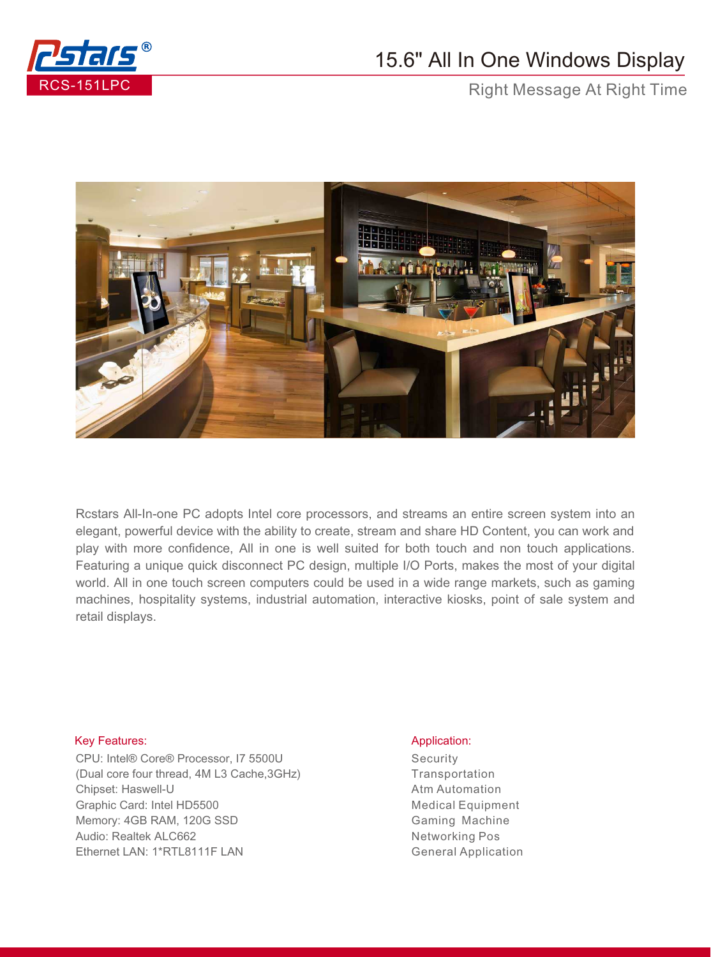

## 15.6" All In One Windows Display

Right Message At Right Time



Rcstars All-In-one PC adopts Intel core processors, and streams an entire screen system into an elegant, powerful device with the ability to create, stream and share HD Content, you can work and play with more confidence, All in one is well suited for both touch and non touch applications. Featuring a unique quick disconnect PC design, multiple I/O Ports, makes the most of your digital world. All in one touch screen computers could be used in a wide range markets, such as gaming machines, hospitality systems, industrial automation, interactive kiosks, point of sale system and retail displays.

## Key Features: Application: Application: Application: Application: Application: Application: Application: Application: Application: Application: Application: Application: Application: Application: Application: Application:

CPU: Intel® Core® Processor, I7 5500U (Dual core four thread, 4M L3 Cache,3GHz) Chipset: Haswell-U Graphic Card: Intel HD5500 Memory: 4GB RAM, 120G SSD Audio: Realtek ALC662 Ethernet LAN: 1\*RTL8111F LAN

**Security Transportation** Atm Automation Medical Equipment Gaming Machine Networking Pos General Application